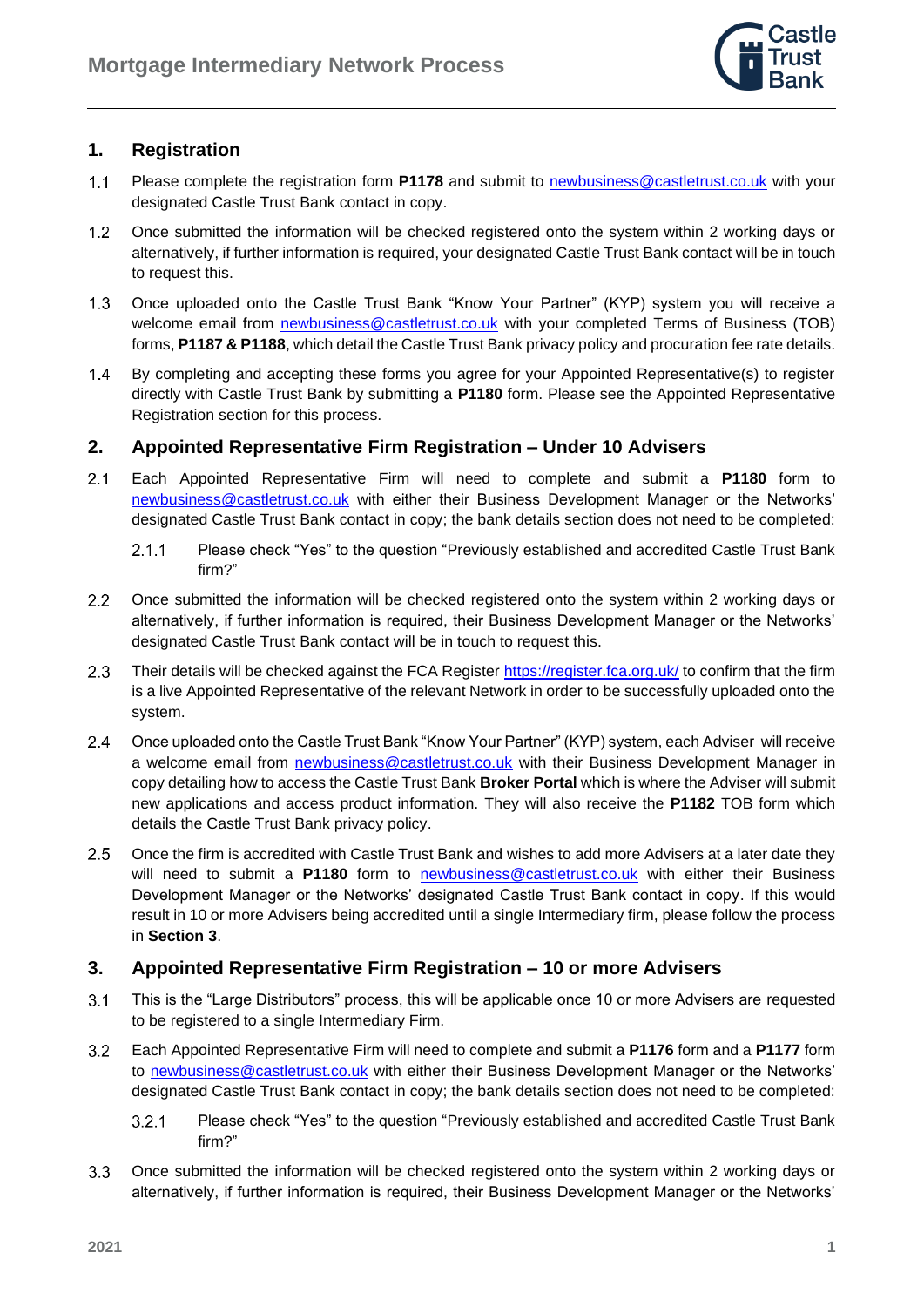

## **1. Registration**

- $1.1$ Please complete the registration form **P1178** and submit to [newbusiness@castletrust.co.uk](mailto:newbusiness@castletrust.co.uk) with your designated Castle Trust Bank contact in copy.
- $1.2$ Once submitted the information will be checked registered onto the system within 2 working days or alternatively, if further information is required, your designated Castle Trust Bank contact will be in touch to request this.
- $1.3$ Once uploaded onto the Castle Trust Bank "Know Your Partner" (KYP) system you will receive a welcome email from *newbusiness@castletrust.co.uk* with your completed Terms of Business (TOB) forms, **P1187 & P1188**, which detail the Castle Trust Bank privacy policy and procuration fee rate details.
- $1.4$ By completing and accepting these forms you agree for your Appointed Representative(s) to register directly with Castle Trust Bank by submitting a **P1180** form. Please see the Appointed Representative Registration section for this process.

## **2. Appointed Representative Firm Registration – Under 10 Advisers**

- $2.1$ Each Appointed Representative Firm will need to complete and submit a **P1180** form to [newbusiness@castletrust.co.uk](mailto:newbusiness@castletrust.co.uk) with either their Business Development Manager or the Networks' designated Castle Trust Bank contact in copy; the bank details section does not need to be completed:
	- $2.1.1$ Please check "Yes" to the question "Previously established and accredited Castle Trust Bank firm?"
- $2.2$ Once submitted the information will be checked registered onto the system within 2 working days or alternatively, if further information is required, their Business Development Manager or the Networks' designated Castle Trust Bank contact will be in touch to request this.
- $2.3$ Their details will be checked against the FCA Register<https://register.fca.org.uk/> to confirm that the firm is a live Appointed Representative of the relevant Network in order to be successfully uploaded onto the system.
- $2.4$ Once uploaded onto the Castle Trust Bank "Know Your Partner" (KYP) system, each Adviser will receive a welcome email from [newbusiness@castletrust.co.uk](mailto:newbusiness@castletrust.co.uk) with their Business Development Manager in copy detailing how to access the Castle Trust Bank **Broker Portal** which is where the Adviser will submit new applications and access product information. They will also receive the **P1182** TOB form which details the Castle Trust Bank privacy policy.
- $2.5$ Once the firm is accredited with Castle Trust Bank and wishes to add more Advisers at a later date they will need to submit a **P1180** form to [newbusiness@castletrust.co.uk](mailto:newbusiness@castletrust.co.uk) with either their Business Development Manager or the Networks' designated Castle Trust Bank contact in copy. If this would result in 10 or more Advisers being accredited until a single Intermediary firm, please follow the process in **Section 3**.

## **3. Appointed Representative Firm Registration – 10 or more Advisers**

- $3.1$ This is the "Large Distributors" process, this will be applicable once 10 or more Advisers are requested to be registered to a single Intermediary Firm.
- $3.2$ Each Appointed Representative Firm will need to complete and submit a **P1176** form and a **P1177** form to [newbusiness@castletrust.co.uk](mailto:newbusiness@castletrust.co.uk) with either their Business Development Manager or the Networks' designated Castle Trust Bank contact in copy; the bank details section does not need to be completed:
	- $3.2.1$ Please check "Yes" to the question "Previously established and accredited Castle Trust Bank firm?"
- $3.3$ Once submitted the information will be checked registered onto the system within 2 working days or alternatively, if further information is required, their Business Development Manager or the Networks'